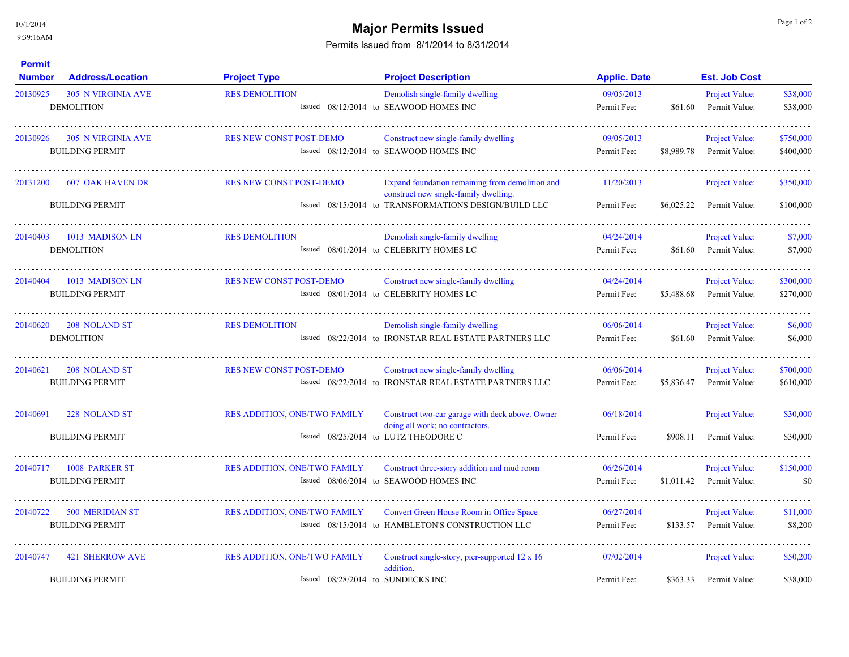10/1/2014

## 9:39:16AM

 $\sim$   $\sim$   $\sim$   $\sim$ 

## **Major Permits Issued Example 2 and Secure 2 and Secure 2 and Secure 2 and Page 1 of 2 and Page 1 of 2**

## Permits Issued from 8/1/2014 to 8/31/2014

| <b>Permit</b><br><b>Number</b> | <b>Address/Location</b>                             | <b>Project Type</b>                                                      | <b>Project Description</b>                                                                                                                        | <b>Applic. Date</b>       |            | <b>Est. Job Cost</b>                   |                        |
|--------------------------------|-----------------------------------------------------|--------------------------------------------------------------------------|---------------------------------------------------------------------------------------------------------------------------------------------------|---------------------------|------------|----------------------------------------|------------------------|
| 20130925                       | <b>305 N VIRGINIA AVE</b><br><b>DEMOLITION</b>      | <b>RES DEMOLITION</b>                                                    | Demolish single-family dwelling<br>Issued 08/12/2014 to SEAWOOD HOMES INC                                                                         | 09/05/2013<br>Permit Fee: | \$61.60    | <b>Project Value:</b><br>Permit Value: | \$38,000<br>\$38,000   |
| 20130926                       | <b>305 N VIRGINIA AVE</b><br><b>BUILDING PERMIT</b> | RES NEW CONST POST-DEMO                                                  | Construct new single-family dwelling<br>Issued 08/12/2014 to SEAWOOD HOMES INC                                                                    | 09/05/2013<br>Permit Fee: | \$8,989.78 | <b>Project Value:</b><br>Permit Value: | \$750,000<br>\$400,000 |
| 20131200                       | <b>607 OAK HAVEN DR</b><br><b>BUILDING PERMIT</b>   | <b>RES NEW CONST POST-DEMO</b>                                           | Expand foundation remaining from demolition and<br>construct new single-family dwelling.<br>Issued 08/15/2014 to TRANSFORMATIONS DESIGN/BUILD LLC | 11/20/2013<br>Permit Fee: | \$6,025.22 | Project Value:<br>Permit Value:        | \$350,000<br>\$100,000 |
| 20140403                       | 1013 MADISON LN<br><b>DEMOLITION</b>                | <b>RES DEMOLITION</b>                                                    | Demolish single-family dwelling<br>Issued 08/01/2014 to CELEBRITY HOMES LC                                                                        | 04/24/2014<br>Permit Fee: | \$61.60    | Project Value:<br>Permit Value:        | \$7,000<br>\$7,000     |
| 20140404                       | 1013 MADISON LN<br><b>BUILDING PERMIT</b>           | <b>RES NEW CONST POST-DEMO</b>                                           | Construct new single-family dwelling<br>Issued 08/01/2014 to CELEBRITY HOMES LC                                                                   | 04/24/2014<br>Permit Fee: | \$5,488.68 | Project Value:<br>Permit Value:        | \$300,000<br>\$270,000 |
| 20140620                       | 208 NOLAND ST<br><b>DEMOLITION</b>                  | <b>RES DEMOLITION</b>                                                    | Demolish single-family dwelling<br>Issued 08/22/2014 to IRONSTAR REAL ESTATE PARTNERS LLC                                                         | 06/06/2014<br>Permit Fee: | \$61.60    | Project Value:<br>Permit Value:        | \$6,000<br>\$6,000     |
| 20140621                       | 208 NOLAND ST<br><b>BUILDING PERMIT</b>             | <b>RES NEW CONST POST-DEMO</b>                                           | Construct new single-family dwelling<br>Issued 08/22/2014 to IRONSTAR REAL ESTATE PARTNERS LLC                                                    | 06/06/2014<br>Permit Fee: | \$5,836.47 | Project Value:<br>Permit Value:        | \$700,000<br>\$610,000 |
| 20140691                       | 228 NOLAND ST<br><b>BUILDING PERMIT</b>             | <b>RES ADDITION, ONE/TWO FAMILY</b>                                      | Construct two-car garage with deck above. Owner<br>doing all work; no contractors.<br>Issued 08/25/2014 to LUTZ THEODORE C                        | 06/18/2014<br>Permit Fee: | \$908.11   | Project Value:<br>Permit Value:        | \$30,000<br>\$30,000   |
| 20140717                       | <b>1008 PARKER ST</b><br><b>BUILDING PERMIT</b>     | <b>RES ADDITION, ONE/TWO FAMILY</b>                                      | Construct three-story addition and mud room<br>Issued 08/06/2014 to SEAWOOD HOMES INC                                                             | 06/26/2014<br>Permit Fee: | \$1,011.42 | Project Value:<br>Permit Value:        | \$150,000<br>\$0       |
| 20140722                       | <b>500 MERIDIAN ST</b><br><b>BUILDING PERMIT</b>    | RES ADDITION, ONE/TWO FAMILY                                             | Convert Green House Room in Office Space<br>Issued 08/15/2014 to HAMBLETON'S CONSTRUCTION LLC                                                     | 06/27/2014<br>Permit Fee: | \$133.57   | Project Value:<br>Permit Value:        | \$11,000<br>\$8,200    |
| 20140747                       | <b>421 SHERROW AVE</b><br><b>BUILDING PERMIT</b>    | <b>RES ADDITION, ONE/TWO FAMILY</b><br>Issued 08/28/2014 to SUNDECKS INC | Construct single-story, pier-supported 12 x 16<br>addition.                                                                                       | 07/02/2014<br>Permit Fee: | \$363.33   | Project Value:<br>Permit Value:        | \$50,200<br>\$38,000   |